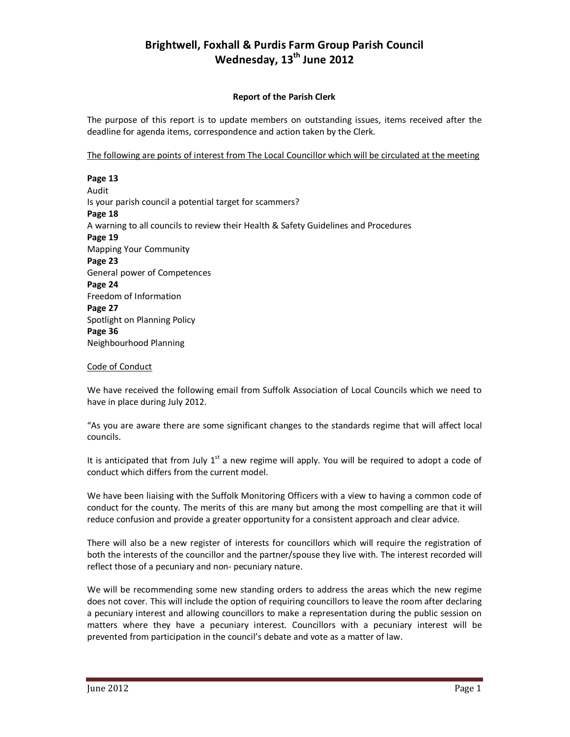## **Brightwell, Foxhall & Purdis Farm Group Parish Council Wednesday, 13th June 2012**

## **Report of the Parish Clerk**

The purpose of this report is to update members on outstanding issues, items received after the deadline for agenda items, correspondence and action taken by the Clerk.

The following are points of interest from The Local Councillor which will be circulated at the meeting

**Page 13** Audit Is your parish council a potential target for scammers? **Page 18**  A warning to all councils to review their Health & Safety Guidelines and Procedures **Page 19**  Mapping Your Community **Page 23**  General power of Competences **Page 24**  Freedom of Information **Page 27**  Spotlight on Planning Policy **Page 36** Neighbourhood Planning

## Code of Conduct

We have received the following email from Suffolk Association of Local Councils which we need to have in place during July 2012.

"As you are aware there are some significant changes to the standards regime that will affect local councils.

It is anticipated that from July  $1<sup>st</sup>$  a new regime will apply. You will be required to adopt a code of conduct which differs from the current model.

We have been liaising with the Suffolk Monitoring Officers with a view to having a common code of conduct for the county. The merits of this are many but among the most compelling are that it will reduce confusion and provide a greater opportunity for a consistent approach and clear advice.

There will also be a new register of interests for councillors which will require the registration of both the interests of the councillor and the partner/spouse they live with. The interest recorded will reflect those of a pecuniary and non- pecuniary nature.

We will be recommending some new standing orders to address the areas which the new regime does not cover. This will include the option of requiring councillors to leave the room after declaring a pecuniary interest and allowing councillors to make a representation during the public session on matters where they have a pecuniary interest. Councillors with a pecuniary interest will be prevented from participation in the council's debate and vote as a matter of law.